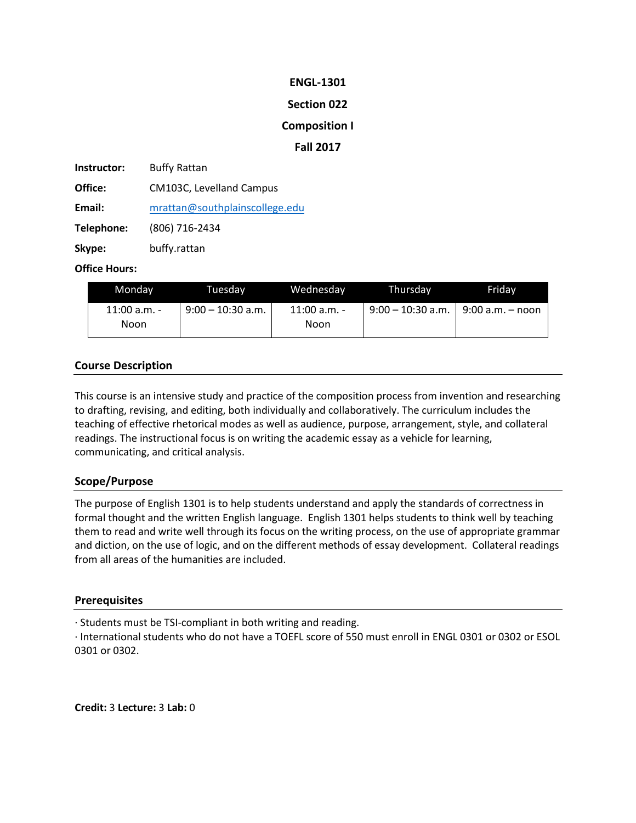## **ENGL-1301**

## **Section 022**

## **Composition I**

## **Fall 2017**

**Instructor:** Buffy Rattan **Office:** CM103C, Levelland Campus **Email:** [mrattan@southplainscollege.edu](mailto:mrattan@southplainscollege.edu) **Telephone:** (806) 716-2434 **Skype:** buffy.rattan

### **Office Hours:**

| Mondav         | Tuesdav             | Wednesday      | Thursdav                               | Fridav |
|----------------|---------------------|----------------|----------------------------------------|--------|
| $11:00$ a.m. - | $9:00 - 10:30$ a.m. | $11:00$ a.m. - | $9:00 - 10:30$ a.m.   9:00 a.m. - noon |        |
| Noon           |                     | Noon           |                                        |        |

# **Course Description**

This course is an intensive study and practice of the composition process from invention and researching to drafting, revising, and editing, both individually and collaboratively. The curriculum includes the teaching of effective rhetorical modes as well as audience, purpose, arrangement, style, and collateral readings. The instructional focus is on writing the academic essay as a vehicle for learning, communicating, and critical analysis.

# **Scope/Purpose**

The purpose of English 1301 is to help students understand and apply the standards of correctness in formal thought and the written English language. English 1301 helps students to think well by teaching them to read and write well through its focus on the writing process, on the use of appropriate grammar and diction, on the use of logic, and on the different methods of essay development. Collateral readings from all areas of the humanities are included.

### **Prerequisites**

· Students must be TSI-compliant in both writing and reading.

· International students who do not have a TOEFL score of 550 must enroll in ENGL 0301 or 0302 or ESOL 0301 or 0302.

**Credit:** 3 **Lecture:** 3 **Lab:** 0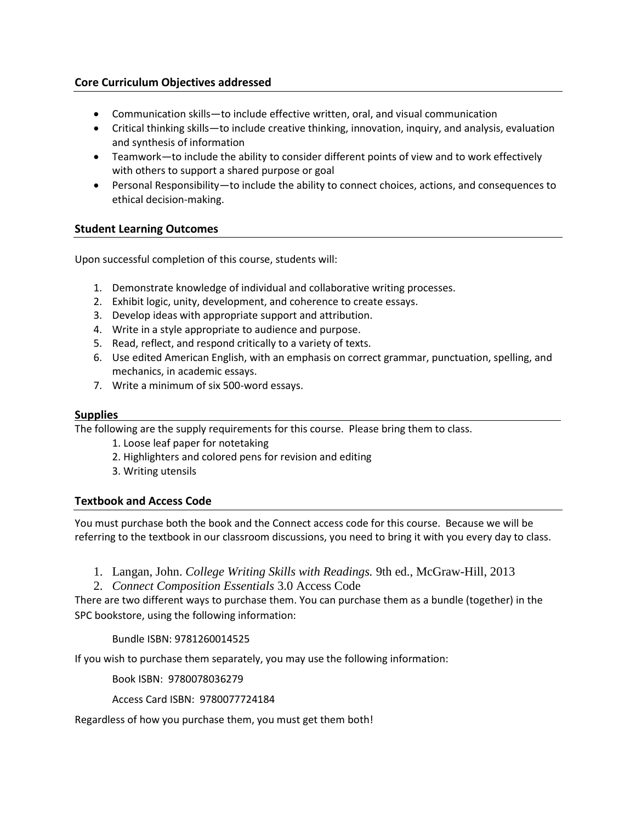## **Core Curriculum Objectives addressed**

- Communication skills—to include effective written, oral, and visual communication
- Critical thinking skills—to include creative thinking, innovation, inquiry, and analysis, evaluation and synthesis of information
- Teamwork—to include the ability to consider different points of view and to work effectively with others to support a shared purpose or goal
- Personal Responsibility—to include the ability to connect choices, actions, and consequences to ethical decision-making.

## **Student Learning Outcomes**

Upon successful completion of this course, students will:

- 1. Demonstrate knowledge of individual and collaborative writing processes.
- 2. Exhibit logic, unity, development, and coherence to create essays.
- 3. Develop ideas with appropriate support and attribution.
- 4. Write in a style appropriate to audience and purpose.
- 5. Read, reflect, and respond critically to a variety of texts.
- 6. Use edited American English, with an emphasis on correct grammar, punctuation, spelling, and mechanics, in academic essays.
- 7. Write a minimum of six 500-word essays.

### **Supplies**

The following are the supply requirements for this course. Please bring them to class.

- 1. Loose leaf paper for notetaking
- 2. Highlighters and colored pens for revision and editing
- 3. Writing utensils

### **Textbook and Access Code**

You must purchase both the book and the Connect access code for this course. Because we will be referring to the textbook in our classroom discussions, you need to bring it with you every day to class.

- 1. Langan, John. *College Writing Skills with Readings.* 9th ed., McGraw-Hill, 2013
- 2. *Connect Composition Essentials* 3.0 Access Code

There are two different ways to purchase them. You can purchase them as a bundle (together) in the SPC bookstore, using the following information:

Bundle ISBN: 9781260014525

If you wish to purchase them separately, you may use the following information:

Book ISBN: 9780078036279

Access Card ISBN: 9780077724184

Regardless of how you purchase them, you must get them both!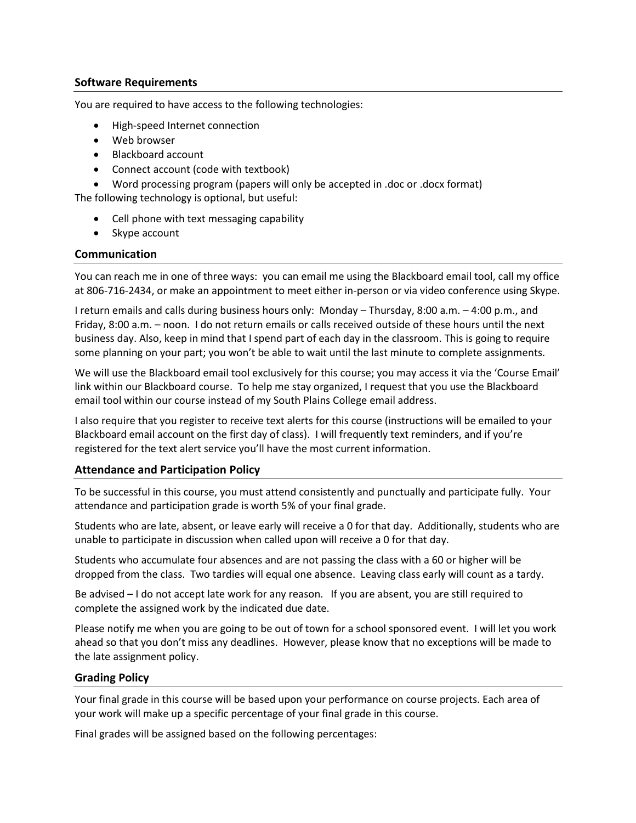### **Software Requirements**

You are required to have access to the following technologies:

- High-speed Internet connection
- Web browser
- Blackboard account
- Connect account (code with textbook)
- Word processing program (papers will only be accepted in .doc or .docx format)

The following technology is optional, but useful:

- Cell phone with text messaging capability
- Skype account

## **Communication**

You can reach me in one of three ways: you can email me using the Blackboard email tool, call my office at 806-716-2434, or make an appointment to meet either in-person or via video conference using Skype.

I return emails and calls during business hours only: Monday – Thursday, 8:00 a.m. – 4:00 p.m., and Friday, 8:00 a.m. – noon. I do not return emails or calls received outside of these hours until the next business day. Also, keep in mind that I spend part of each day in the classroom. This is going to require some planning on your part; you won't be able to wait until the last minute to complete assignments.

We will use the Blackboard email tool exclusively for this course; you may access it via the 'Course Email' link within our Blackboard course. To help me stay organized, I request that you use the Blackboard email tool within our course instead of my South Plains College email address.

I also require that you register to receive text alerts for this course (instructions will be emailed to your Blackboard email account on the first day of class). I will frequently text reminders, and if you're registered for the text alert service you'll have the most current information.

# **Attendance and Participation Policy**

To be successful in this course, you must attend consistently and punctually and participate fully. Your attendance and participation grade is worth 5% of your final grade.

Students who are late, absent, or leave early will receive a 0 for that day. Additionally, students who are unable to participate in discussion when called upon will receive a 0 for that day.

Students who accumulate four absences and are not passing the class with a 60 or higher will be dropped from the class. Two tardies will equal one absence. Leaving class early will count as a tardy.

Be advised – I do not accept late work for any reason. If you are absent, you are still required to complete the assigned work by the indicated due date.

Please notify me when you are going to be out of town for a school sponsored event. I will let you work ahead so that you don't miss any deadlines. However, please know that no exceptions will be made to the late assignment policy.

# **Grading Policy**

Your final grade in this course will be based upon your performance on course projects. Each area of your work will make up a specific percentage of your final grade in this course.

Final grades will be assigned based on the following percentages: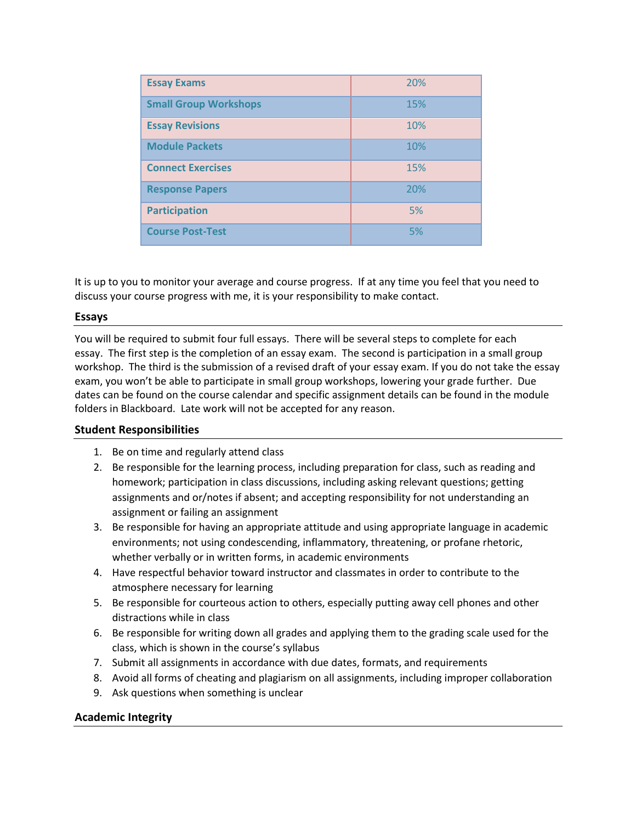| <b>Essay Exams</b>           | 20% |
|------------------------------|-----|
| <b>Small Group Workshops</b> | 15% |
| <b>Essay Revisions</b>       | 10% |
| <b>Module Packets</b>        | 10% |
| <b>Connect Exercises</b>     | 15% |
| <b>Response Papers</b>       | 20% |
| <b>Participation</b>         | 5%  |
| <b>Course Post-Test</b>      | 5%  |

It is up to you to monitor your average and course progress. If at any time you feel that you need to discuss your course progress with me, it is your responsibility to make contact.

### **Essays**

You will be required to submit four full essays. There will be several steps to complete for each essay. The first step is the completion of an essay exam. The second is participation in a small group workshop. The third is the submission of a revised draft of your essay exam. If you do not take the essay exam, you won't be able to participate in small group workshops, lowering your grade further. Due dates can be found on the course calendar and specific assignment details can be found in the module folders in Blackboard. Late work will not be accepted for any reason.

### **Student Responsibilities**

- 1. Be on time and regularly attend class
- 2. Be responsible for the learning process, including preparation for class, such as reading and homework; participation in class discussions, including asking relevant questions; getting assignments and or/notes if absent; and accepting responsibility for not understanding an assignment or failing an assignment
- 3. Be responsible for having an appropriate attitude and using appropriate language in academic environments; not using condescending, inflammatory, threatening, or profane rhetoric, whether verbally or in written forms, in academic environments
- 4. Have respectful behavior toward instructor and classmates in order to contribute to the atmosphere necessary for learning
- 5. Be responsible for courteous action to others, especially putting away cell phones and other distractions while in class
- 6. Be responsible for writing down all grades and applying them to the grading scale used for the class, which is shown in the course's syllabus
- 7. Submit all assignments in accordance with due dates, formats, and requirements
- 8. Avoid all forms of cheating and plagiarism on all assignments, including improper collaboration
- 9. Ask questions when something is unclear

### **Academic Integrity**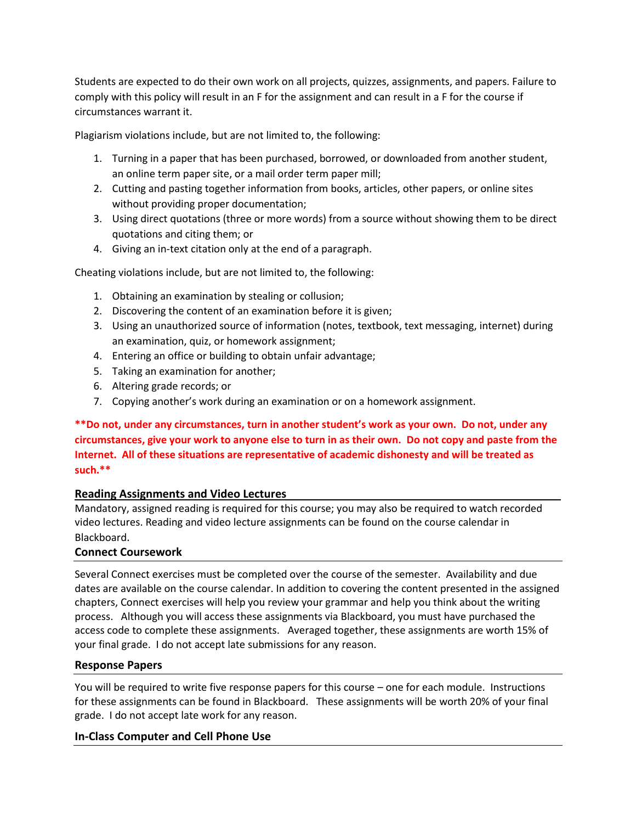Students are expected to do their own work on all projects, quizzes, assignments, and papers. Failure to comply with this policy will result in an F for the assignment and can result in a F for the course if circumstances warrant it.

Plagiarism violations include, but are not limited to, the following:

- 1. Turning in a paper that has been purchased, borrowed, or downloaded from another student, an online term paper site, or a mail order term paper mill;
- 2. Cutting and pasting together information from books, articles, other papers, or online sites without providing proper documentation;
- 3. Using direct quotations (three or more words) from a source without showing them to be direct quotations and citing them; or
- 4. Giving an in-text citation only at the end of a paragraph.

Cheating violations include, but are not limited to, the following:

- 1. Obtaining an examination by stealing or collusion;
- 2. Discovering the content of an examination before it is given;
- 3. Using an unauthorized source of information (notes, textbook, text messaging, internet) during an examination, quiz, or homework assignment;
- 4. Entering an office or building to obtain unfair advantage;
- 5. Taking an examination for another;
- 6. Altering grade records; or
- 7. Copying another's work during an examination or on a homework assignment.

# **\*\*Do not, under any circumstances, turn in another student's work as your own. Do not, under any circumstances, give your work to anyone else to turn in as their own. Do not copy and paste from the Internet. All of these situations are representative of academic dishonesty and will be treated as such.\*\***

# **Reading Assignments and Video Lectures**

Mandatory, assigned reading is required for this course; you may also be required to watch recorded video lectures. Reading and video lecture assignments can be found on the course calendar in Blackboard.

# **Connect Coursework**

Several Connect exercises must be completed over the course of the semester. Availability and due dates are available on the course calendar. In addition to covering the content presented in the assigned chapters, Connect exercises will help you review your grammar and help you think about the writing process. Although you will access these assignments via Blackboard, you must have purchased the access code to complete these assignments. Averaged together, these assignments are worth 15% of your final grade. I do not accept late submissions for any reason.

### **Response Papers**

You will be required to write five response papers for this course – one for each module. Instructions for these assignments can be found in Blackboard. These assignments will be worth 20% of your final grade. I do not accept late work for any reason.

### **In-Class Computer and Cell Phone Use**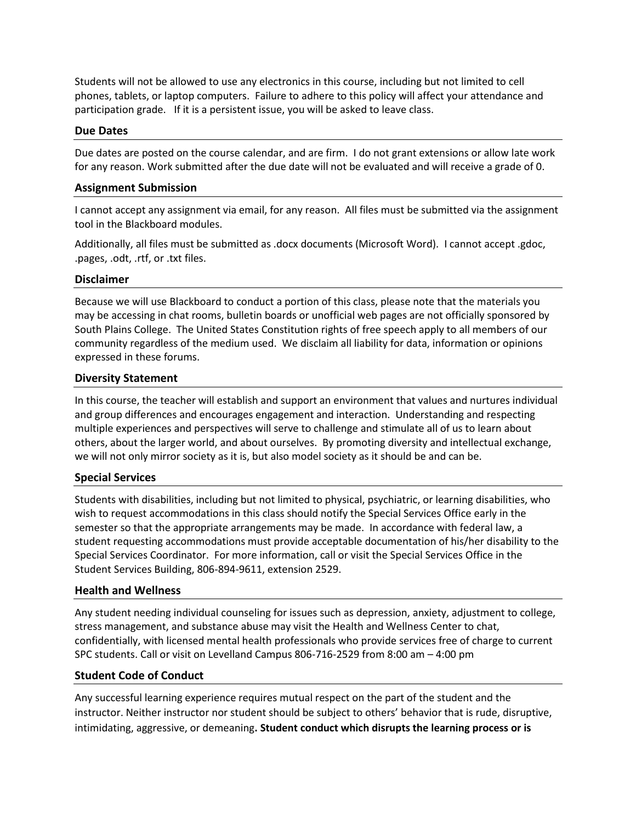Students will not be allowed to use any electronics in this course, including but not limited to cell phones, tablets, or laptop computers. Failure to adhere to this policy will affect your attendance and participation grade. If it is a persistent issue, you will be asked to leave class.

## **Due Dates**

Due dates are posted on the course calendar, and are firm. I do not grant extensions or allow late work for any reason. Work submitted after the due date will not be evaluated and will receive a grade of 0.

### **Assignment Submission**

I cannot accept any assignment via email, for any reason. All files must be submitted via the assignment tool in the Blackboard modules.

Additionally, all files must be submitted as .docx documents (Microsoft Word). I cannot accept .gdoc, .pages, .odt, .rtf, or .txt files.

## **Disclaimer**

Because we will use Blackboard to conduct a portion of this class, please note that the materials you may be accessing in chat rooms, bulletin boards or unofficial web pages are not officially sponsored by South Plains College. The United States Constitution rights of free speech apply to all members of our community regardless of the medium used. We disclaim all liability for data, information or opinions expressed in these forums.

## **Diversity Statement**

In this course, the teacher will establish and support an environment that values and nurtures individual and group differences and encourages engagement and interaction. Understanding and respecting multiple experiences and perspectives will serve to challenge and stimulate all of us to learn about others, about the larger world, and about ourselves. By promoting diversity and intellectual exchange, we will not only mirror society as it is, but also model society as it should be and can be.

### **Special Services**

Students with disabilities, including but not limited to physical, psychiatric, or learning disabilities, who wish to request accommodations in this class should notify the Special Services Office early in the semester so that the appropriate arrangements may be made. In accordance with federal law, a student requesting accommodations must provide acceptable documentation of his/her disability to the Special Services Coordinator. For more information, call or visit the Special Services Office in the Student Services Building, 806-894-9611, extension 2529.

### **Health and Wellness**

Any student needing individual counseling for issues such as depression, anxiety, adjustment to college, stress management, and substance abuse may visit the Health and Wellness Center to chat, confidentially, with licensed mental health professionals who provide services free of charge to current SPC students. Call or visit on Levelland Campus 806-716-2529 from 8:00 am – 4:00 pm

### **Student Code of Conduct**

Any successful learning experience requires mutual respect on the part of the student and the instructor. Neither instructor nor student should be subject to others' behavior that is rude, disruptive, intimidating, aggressive, or demeaning**. Student conduct which disrupts the learning process or is**